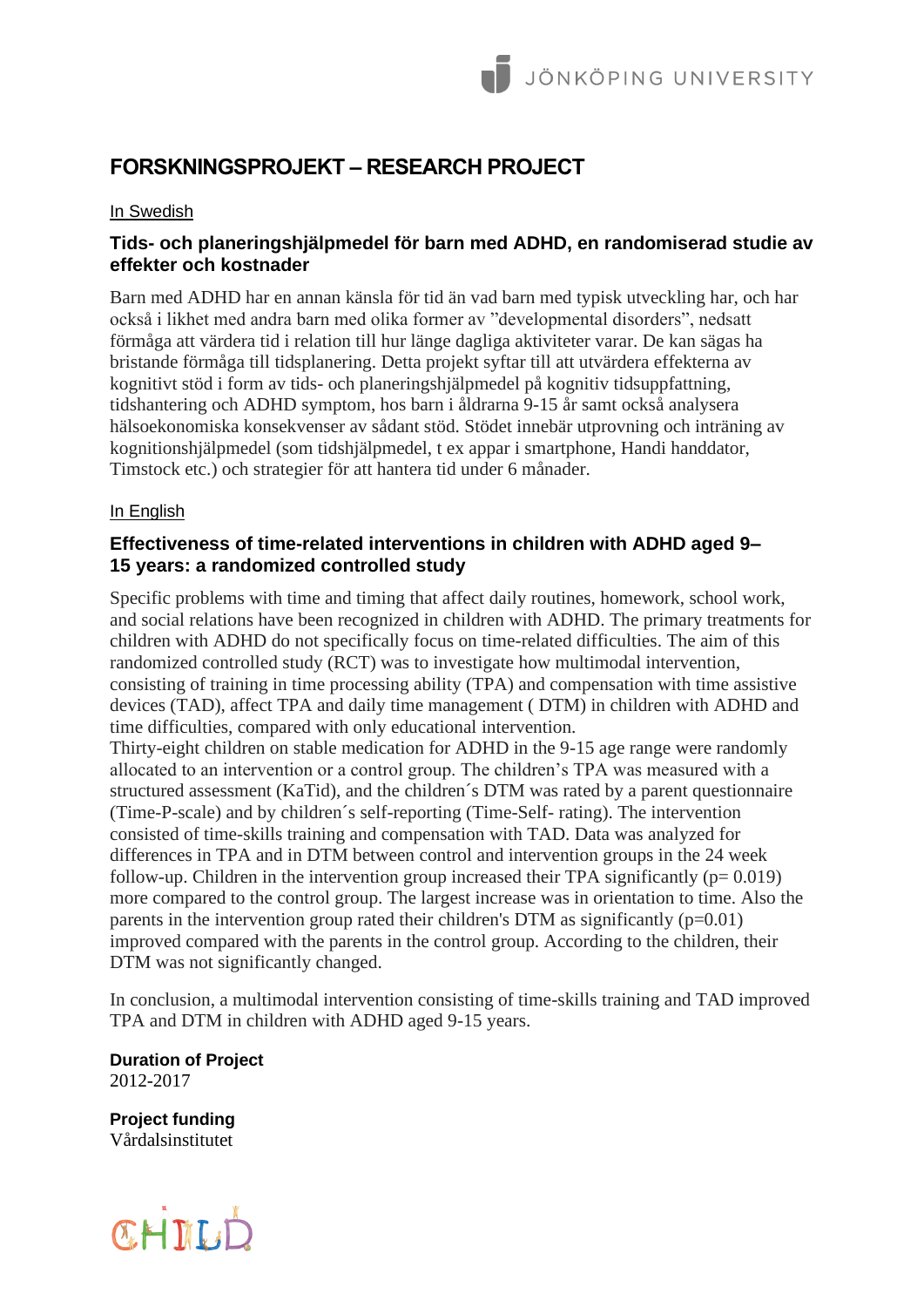# **FORSKNINGSPROJEKT – RESEARCH PROJECT**

### In Swedish

## **Tids- och planeringshjälpmedel för barn med ADHD, en randomiserad studie av effekter och kostnader**

Barn med ADHD har en annan känsla för tid än vad barn med typisk utveckling har, och har också i likhet med andra barn med olika former av "developmental disorders", nedsatt förmåga att värdera tid i relation till hur länge dagliga aktiviteter varar. De kan sägas ha bristande förmåga till tidsplanering. Detta projekt syftar till att utvärdera effekterna av kognitivt stöd i form av tids- och planeringshjälpmedel på kognitiv tidsuppfattning, tidshantering och ADHD symptom, hos barn i åldrarna 9-15 år samt också analysera hälsoekonomiska konsekvenser av sådant stöd. Stödet innebär utprovning och inträning av kognitionshjälpmedel (som tidshjälpmedel, t ex appar i smartphone, Handi handdator, Timstock etc.) och strategier för att hantera tid under 6 månader.

## In English

# **Effectiveness of time-related interventions in children with ADHD aged 9– 15 years: a randomized controlled study**

Specific problems with time and timing that affect daily routines, homework, school work, and social relations have been recognized in children with ADHD. The primary treatments for children with ADHD do not specifically focus on time-related difficulties. The aim of this randomized controlled study (RCT) was to investigate how multimodal intervention, consisting of training in time processing ability (TPA) and compensation with time assistive devices (TAD), affect TPA and daily time management ( DTM) in children with ADHD and time difficulties, compared with only educational intervention.

Thirty-eight children on stable medication for ADHD in the 9-15 age range were randomly allocated to an intervention or a control group. The children's TPA was measured with a structured assessment (KaTid), and the children´s DTM was rated by a parent questionnaire (Time-P-scale) and by children´s self-reporting (Time-Self- rating). The intervention consisted of time-skills training and compensation with TAD. Data was analyzed for differences in TPA and in DTM between control and intervention groups in the 24 week follow-up. Children in the intervention group increased their TPA significantly  $(p= 0.019)$ more compared to the control group. The largest increase was in orientation to time. Also the parents in the intervention group rated their children's DTM as significantly  $(p=0.01)$ improved compared with the parents in the control group. According to the children, their DTM was not significantly changed.

In conclusion, a multimodal intervention consisting of time-skills training and TAD improved TPA and DTM in children with ADHD aged 9-15 years.

**Duration of Project** 2012-2017

**Project funding** Vårdalsinstitutet